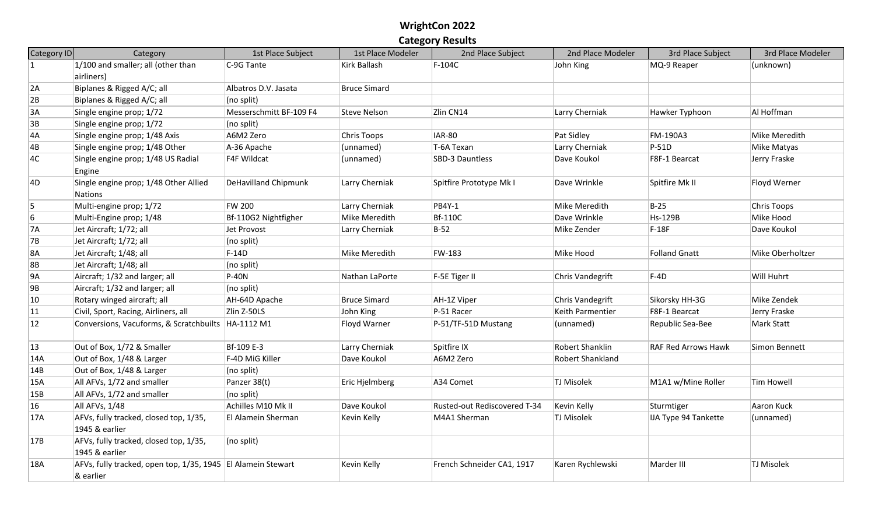| Category ID    | Category                                                                  | 1st Place Subject           | 1st Place Modeler   | 2nd Place Subject            | 2nd Place Modeler | 3rd Place Subject           | 3rd Place Modeler |
|----------------|---------------------------------------------------------------------------|-----------------------------|---------------------|------------------------------|-------------------|-----------------------------|-------------------|
| $\overline{1}$ | 1/100 and smaller; all (other than                                        | C-9G Tante                  | Kirk Ballash        | $F-104C$                     | John King         | MQ-9 Reaper                 | (unknown)         |
|                | airliners)                                                                |                             |                     |                              |                   |                             |                   |
| 2A             | Biplanes & Rigged A/C; all                                                | Albatros D.V. Jasata        | <b>Bruce Simard</b> |                              |                   |                             |                   |
| 2B             | Biplanes & Rigged A/C; all                                                | (no split)                  |                     |                              |                   |                             |                   |
| 3A             | Single engine prop; 1/72                                                  | Messerschmitt BF-109 F4     | <b>Steve Nelson</b> | Zlin CN14                    | Larry Cherniak    | Hawker Typhoon              | Al Hoffman        |
| 3B             | Single engine prop; 1/72                                                  | (no split)                  |                     |                              |                   |                             |                   |
| 4A             | Single engine prop; 1/48 Axis                                             | A6M2 Zero                   | Chris Toops         | <b>IAR-80</b>                | Pat Sidley        | FM-190A3                    | Mike Meredith     |
| 4B             | Single engine prop; 1/48 Other                                            | A-36 Apache                 | (unnamed)           | T-6A Texan                   | Larry Cherniak    | $P-51D$                     | Mike Matyas       |
| 4C             | Single engine prop; 1/48 US Radial<br>Engine                              | F4F Wildcat                 | (unnamed)           | SBD-3 Dauntless              | Dave Koukol       | F8F-1 Bearcat               | Jerry Fraske      |
| 4D             | Single engine prop; 1/48 Other Allied<br><b>Nations</b>                   | <b>DeHavilland Chipmunk</b> | Larry Cherniak      | Spitfire Prototype Mk I      | Dave Wrinkle      | Spitfire Mk II              | Floyd Werner      |
| 5              | Multi-engine prop; 1/72                                                   | <b>FW 200</b>               | Larry Cherniak      | <b>PB4Y-1</b>                | Mike Meredith     | $B-25$                      | Chris Toops       |
| 6              | Multi-Engine prop; 1/48                                                   | Bf-110G2 Nightfigher        | Mike Meredith       | <b>Bf-110C</b>               | Dave Wrinkle      | <b>Hs-129B</b>              | Mike Hood         |
| <b>7A</b>      | Jet Aircraft; 1/72; all                                                   | Jet Provost                 | Larry Cherniak      | $B-52$                       | Mike Zender       | $F-18F$                     | Dave Koukol       |
| 7B             | Jet Aircraft; 1/72; all                                                   | (no split)                  |                     |                              |                   |                             |                   |
| <b>8A</b>      | Jet Aircraft; 1/48; all                                                   | $F-14D$                     | Mike Meredith       | FW-183                       | Mike Hood         | Folland Gnatt               | Mike Oberholtzer  |
| 8B             | Jet Aircraft; 1/48; all                                                   | (no split)                  |                     |                              |                   |                             |                   |
| 9A             | Aircraft; 1/32 and larger; all                                            | <b>P-40N</b>                | Nathan LaPorte      | F-5E Tiger II                | Chris Vandegrift  | $F-4D$                      | Will Huhrt        |
| 9B             | Aircraft; 1/32 and larger; all                                            | (no split)                  |                     |                              |                   |                             |                   |
| 10             | Rotary winged aircraft; all                                               | AH-64D Apache               | <b>Bruce Simard</b> | AH-1Z Viper                  | Chris Vandegrift  | Sikorsky HH-3G              | Mike Zendek       |
| 11             | Civil, Sport, Racing, Airliners, all                                      | Zlin Z-50LS                 | John King           | P-51 Racer                   | Keith Parmentier  | F8F-1 Bearcat               | Jerry Fraske      |
| 12             | Conversions, Vacuforms, & Scratchbuilts   HA-1112 M1                      |                             | Floyd Warner        | P-51/TF-51D Mustang          | (unnamed)         | Republic Sea-Bee            | Mark Statt        |
| $ 13\rangle$   | Out of Box, 1/72 & Smaller                                                | Bf-109 E-3                  | Larry Cherniak      | Spitfire IX                  | Robert Shanklin   | <b>RAF Red Arrows Hawk</b>  | Simon Bennett     |
| 14A            | Out of Box, 1/48 & Larger                                                 | F-4D MiG Killer             | Dave Koukol         | A6M2 Zero                    | Robert Shankland  |                             |                   |
| 14B            | Out of Box, 1/48 & Larger                                                 | (no split)                  |                     |                              |                   |                             |                   |
| 15A            | All AFVs, 1/72 and smaller                                                | Panzer 38(t)                | Eric Hjelmberg      | A34 Comet                    | TJ Misolek        | M1A1 w/Mine Roller          | Tim Howell        |
| 15B            | All AFVs, 1/72 and smaller                                                | (no split)                  |                     |                              |                   |                             |                   |
| 16             | All AFVs, 1/48                                                            | Achilles M10 Mk II          | Dave Koukol         | Rusted-out Rediscovered T-34 | Kevin Kelly       | Sturmtiger                  | Aaron Kuck        |
| 17A            | AFVs, fully tracked, closed top, 1/35,<br>1945 & earlier                  | El Alamein Sherman          | Kevin Kelly         | M4A1 Sherman                 | TJ Misolek        | <b>IJA Type 94 Tankette</b> | (unnamed)         |
| 17B            | AFVs, fully tracked, closed top, 1/35,<br>1945 & earlier                  | (no split)                  |                     |                              |                   |                             |                   |
| 18A            | AFVs, fully tracked, open top, 1/35, 1945 El Alamein Stewart<br>& earlier |                             | Kevin Kelly         | French Schneider CA1, 1917   | Karen Rychlewski  | Marder III                  | <b>TJ Misolek</b> |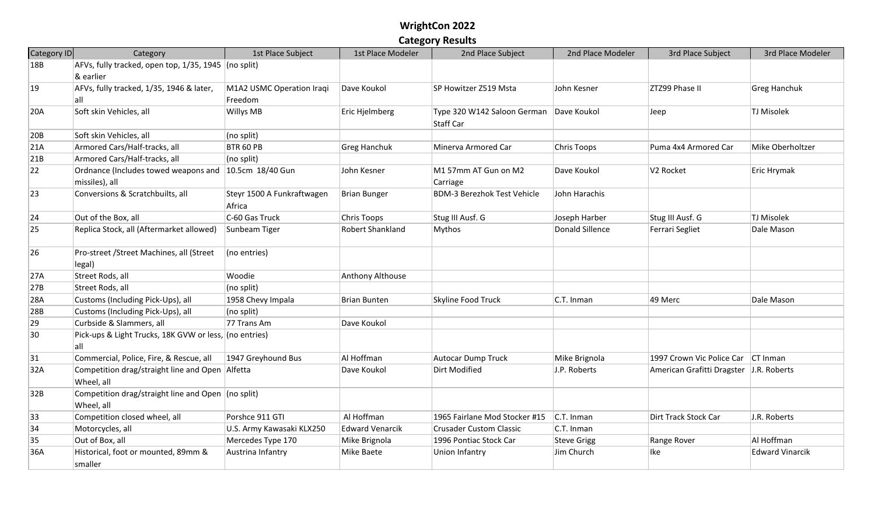| Category ID | Category                                                                | 1st Place Subject                    | 1st Place Modeler      | 2nd Place Subject                        | 2nd Place Modeler  | 3rd Place Subject                       | 3rd Place Modeler      |
|-------------|-------------------------------------------------------------------------|--------------------------------------|------------------------|------------------------------------------|--------------------|-----------------------------------------|------------------------|
| 18B         | AFVs, fully tracked, open top, $1/35$ , 1945 (no split)                 |                                      |                        |                                          |                    |                                         |                        |
|             | & earlier                                                               |                                      |                        |                                          |                    |                                         |                        |
| 19          | AFVs, fully tracked, 1/35, 1946 & later,                                | M1A2 USMC Operation Iraqi            | Dave Koukol            | SP Howitzer Z519 Msta                    | John Kesner        | ZTZ99 Phase II                          | <b>Greg Hanchuk</b>    |
|             | lall                                                                    | Freedom                              |                        |                                          |                    |                                         |                        |
| 20A         | Soft skin Vehicles, all                                                 | Willys MB                            | Eric Hjelmberg         | Type 320 W142 Saloon German<br>Staff Car | Dave Koukol        | Jeep                                    | TJ Misolek             |
| 20B         | Soft skin Vehicles, all                                                 | (no split)                           |                        |                                          |                    |                                         |                        |
| 21A         | Armored Cars/Half-tracks, all                                           | BTR 60 PB                            | <b>Greg Hanchuk</b>    | Minerva Armored Car                      | <b>Chris Toops</b> | Puma 4x4 Armored Car                    | Mike Oberholtzer       |
| 21B         | Armored Cars/Half-tracks, all                                           | (no split)                           |                        |                                          |                    |                                         |                        |
| 22          | Ordnance (Includes towed weapons and 10.5cm 18/40 Gun<br>missiles), all |                                      | John Kesner            | M1 57mm AT Gun on M2<br>Carriage         | Dave Koukol        | V <sub>2</sub> Rocket                   | Eric Hrymak            |
| 23          | Conversions & Scratchbuilts, all                                        | Steyr 1500 A Funkraftwagen<br>Africa | <b>Brian Bunger</b>    | <b>BDM-3 Berezhok Test Vehicle</b>       | John Harachis      |                                         |                        |
| 24          | Out of the Box, all                                                     | C-60 Gas Truck                       | Chris Toops            | Stug III Ausf. G                         | Joseph Harber      | Stug III Ausf. G                        | TJ Misolek             |
| 25          | Replica Stock, all (Aftermarket allowed)                                | Sunbeam Tiger                        | Robert Shankland       | Mythos                                   | Donald Sillence    | Ferrari Segliet                         | Dale Mason             |
| 26          | Pro-street /Street Machines, all (Street                                | (no entries)                         |                        |                                          |                    |                                         |                        |
|             | legal)                                                                  |                                      |                        |                                          |                    |                                         |                        |
| 27A         | Street Rods, all                                                        | Woodie                               | Anthony Althouse       |                                          |                    |                                         |                        |
| 27B         | Street Rods, all                                                        | (no split)                           |                        |                                          |                    |                                         |                        |
| 28A         | Customs (Including Pick-Ups), all                                       | 1958 Chevy Impala                    | Brian Bunten           | Skyline Food Truck                       | C.T. Inman         | 49 Merc                                 | Dale Mason             |
| 28B         | Customs (Including Pick-Ups), all                                       | (no split)                           |                        |                                          |                    |                                         |                        |
| 29          | Curbside & Slammers, all                                                | 77 Trans Am                          | Dave Koukol            |                                          |                    |                                         |                        |
| 30          | Pick-ups & Light Trucks, 18K GVW or less, (no entries)<br>lall          |                                      |                        |                                          |                    |                                         |                        |
| 31          | Commercial, Police, Fire, & Rescue, all                                 | 1947 Greyhound Bus                   | Al Hoffman             | Autocar Dump Truck                       | Mike Brignola      | 1997 Crown Vic Police Car CT Inman      |                        |
| 32A         | Competition drag/straight line and Open Alfetta<br>Wheel, all           |                                      | Dave Koukol            | Dirt Modified                            | J.P. Roberts       | American Grafitti Dragster J.R. Roberts |                        |
| 32B         | Competition drag/straight line and Open (no split)<br>Wheel, all        |                                      |                        |                                          |                    |                                         |                        |
| 33          | Competition closed wheel, all                                           | Porshce 911 GTI                      | Al Hoffman             | 1965 Fairlane Mod Stocker #15            | C.T. Inman         | Dirt Track Stock Car                    | J.R. Roberts           |
| 34          | Motorcycles, all                                                        | U.S. Army Kawasaki KLX250            | <b>Edward Venarcik</b> | <b>Crusader Custom Classic</b>           | C.T. Inman         |                                         |                        |
| 35          | Out of Box, all                                                         | Mercedes Type 170                    | Mike Brignola          | 1996 Pontiac Stock Car                   | <b>Steve Grigg</b> | Range Rover                             | Al Hoffman             |
| 36A         | Historical, foot or mounted, 89mm &<br>smaller                          | Austrina Infantry                    | Mike Baete             | Union Infantry                           | Jim Church         | lke                                     | <b>Edward Vinarcik</b> |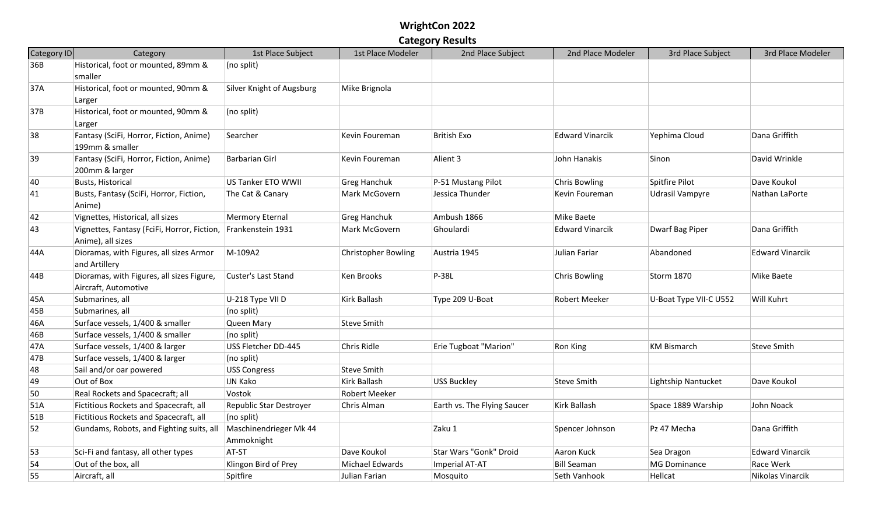| Category ID | Category                                                          | 1st Place Subject                    | 1st Place Modeler          | 2nd Place Subject           | 2nd Place Modeler      | 3rd Place Subject      | 3rd Place Modeler      |
|-------------|-------------------------------------------------------------------|--------------------------------------|----------------------------|-----------------------------|------------------------|------------------------|------------------------|
| 36B         | Historical, foot or mounted, 89mm &<br>smaller                    | (no split)                           |                            |                             |                        |                        |                        |
| 37A         | Historical, foot or mounted, 90mm &<br>Larger                     | Silver Knight of Augsburg            | Mike Brignola              |                             |                        |                        |                        |
| 37B         | Historical, foot or mounted, 90mm &<br>Larger                     | (no split)                           |                            |                             |                        |                        |                        |
| 38          | Fantasy (SciFi, Horror, Fiction, Anime)<br>199mm & smaller        | Searcher                             | Kevin Foureman             | <b>British Exo</b>          | <b>Edward Vinarcik</b> | Yephima Cloud          | Dana Griffith          |
| 39          | Fantasy (SciFi, Horror, Fiction, Anime)<br>200mm & larger         | <b>Barbarian Girl</b>                | Kevin Foureman             | Alient 3                    | John Hanakis           | Sinon                  | David Wrinkle          |
| 40          | <b>Busts, Historical</b>                                          | US Tanker ETO WWII                   | <b>Greg Hanchuk</b>        | P-51 Mustang Pilot          | <b>Chris Bowling</b>   | Spitfire Pilot         | Dave Koukol            |
| 41          | Busts, Fantasy (SciFi, Horror, Fiction,<br>Anime)                 | The Cat & Canary                     | Mark McGovern              | Jessica Thunder             | Kevin Foureman         | Udrasil Vampyre        | Nathan LaPorte         |
| 42          | Vignettes, Historical, all sizes                                  | <b>Mermory Eternal</b>               | <b>Greg Hanchuk</b>        | Ambush 1866                 | Mike Baete             |                        |                        |
| 43          | Vignettes, Fantasy (FciFi, Horror, Fiction,<br>Anime), all sizes  | Frankenstein 1931                    | Mark McGovern              | Ghoulardi                   | <b>Edward Vinarcik</b> | Dwarf Bag Piper        | Dana Griffith          |
| 44A         | Dioramas, with Figures, all sizes Armor<br>and Artillery          | M-109A2                              | <b>Christopher Bowling</b> | Austria 1945                | Julian Fariar          | Abandoned              | <b>Edward Vinarcik</b> |
| 44B         | Dioramas, with Figures, all sizes Figure,<br>Aircraft, Automotive | Custer's Last Stand                  | Ken Brooks                 | $P-38L$                     | Chris Bowling          | <b>Storm 1870</b>      | Mike Baete             |
| 45A         | Submarines, all                                                   | U-218 Type VII D                     | Kirk Ballash               | Type 209 U-Boat             | Robert Meeker          | U-Boat Type VII-C U552 | Will Kuhrt             |
| 45B         | Submarines, all                                                   | (no split)                           |                            |                             |                        |                        |                        |
| 46A         | Surface vessels, 1/400 & smaller                                  | Queen Mary                           | Steve Smith                |                             |                        |                        |                        |
| 46B         | Surface vessels, 1/400 & smaller                                  | (no split)                           |                            |                             |                        |                        |                        |
| 47A         | Surface vessels, 1/400 & larger                                   | USS Fletcher DD-445                  | Chris Ridle                | Erie Tugboat "Marion"       | Ron King               | <b>KM Bismarch</b>     | <b>Steve Smith</b>     |
| 47B         | Surface vessels, 1/400 & larger                                   | (no split)                           |                            |                             |                        |                        |                        |
| 48          | Sail and/or oar powered                                           | <b>USS Congress</b>                  | <b>Steve Smith</b>         |                             |                        |                        |                        |
| 49          | Out of Box                                                        | <b>IJN Kako</b>                      | Kirk Ballash               | USS Buckley                 | <b>Steve Smith</b>     | Lightship Nantucket    | Dave Koukol            |
| 50          | Real Rockets and Spacecraft; all                                  | Vostok                               | Robert Meeker              |                             |                        |                        |                        |
| 51A         | Fictitious Rockets and Spacecraft, all                            | Republic Star Destroyer              | Chris Alman                | Earth vs. The Flying Saucer | Kirk Ballash           | Space 1889 Warship     | John Noack             |
| 51B         | Fictitious Rockets and Spacecraft, all                            | (no split)                           |                            |                             |                        |                        |                        |
| 52          | Gundams, Robots, and Fighting suits, all                          | Maschinendrieger Mk 44<br>Ammoknight |                            | Zaku 1                      | Spencer Johnson        | Pz 47 Mecha            | Dana Griffith          |
| 53          | Sci-Fi and fantasy, all other types                               | AT-ST                                | Dave Koukol                | Star Wars "Gonk" Droid      | Aaron Kuck             | Sea Dragon             | <b>Edward Vinarcik</b> |
| 54          | Out of the box, all                                               | Klingon Bird of Prey                 | Michael Edwards            | Imperial AT-AT              | <b>Bill Seaman</b>     | <b>MG Dominance</b>    | Race Werk              |
| 55          | Aircraft, all                                                     | Spitfire                             | Julian Farian              | Mosquito                    | Seth Vanhook           | Hellcat                | Nikolas Vinarcik       |